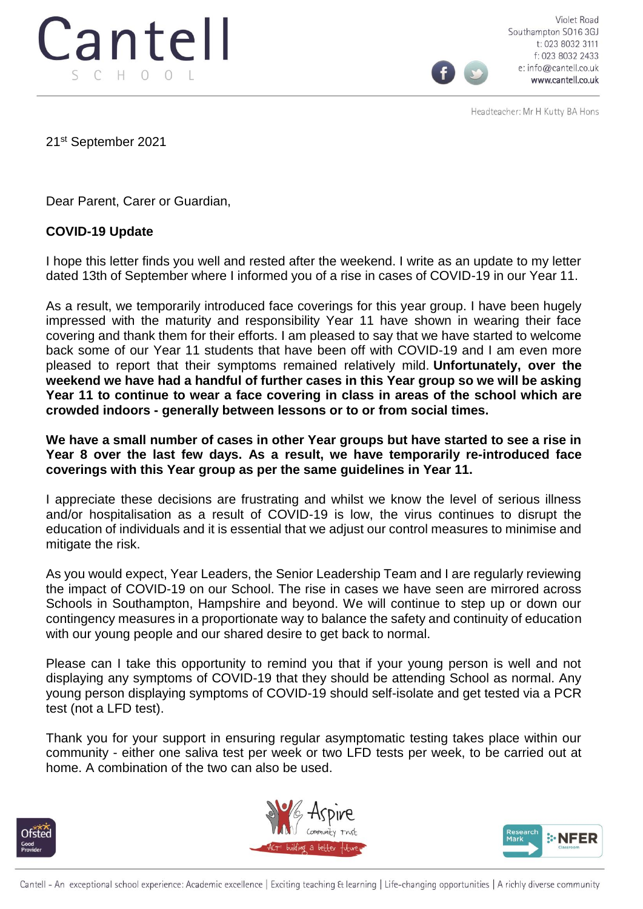

Violet Road Southampton SO16 3GJ t: 023 8032 3111 f: 023 8032 2433 e: info@cantell.co.uk www.cantell.co.uk

Headteacher: Mr H Kutty BA Hons

21st September 2021

Dear Parent, Carer or Guardian,

## **COVID-19 Update**

I hope this letter finds you well and rested after the weekend. I write as an update to my letter dated 13th of September where I informed you of a rise in cases of COVID-19 in our Year 11.

As a result, we temporarily introduced face coverings for this year group. I have been hugely impressed with the maturity and responsibility Year 11 have shown in wearing their face covering and thank them for their efforts. I am pleased to say that we have started to welcome back some of our Year 11 students that have been off with COVID-19 and I am even more pleased to report that their symptoms remained relatively mild. **Unfortunately, over the weekend we have had a handful of further cases in this Year group so we will be asking Year 11 to continue to wear a face covering in class in areas of the school which are crowded indoors - generally between lessons or to or from social times.**

**We have a small number of cases in other Year groups but have started to see a rise in Year 8 over the last few days. As a result, we have temporarily re-introduced face coverings with this Year group as per the same guidelines in Year 11.**

I appreciate these decisions are frustrating and whilst we know the level of serious illness and/or hospitalisation as a result of COVID-19 is low, the virus continues to disrupt the education of individuals and it is essential that we adjust our control measures to minimise and mitigate the risk.

As you would expect, Year Leaders, the Senior Leadership Team and I are regularly reviewing the impact of COVID-19 on our School. The rise in cases we have seen are mirrored across Schools in Southampton, Hampshire and beyond. We will continue to step up or down our contingency measures in a proportionate way to balance the safety and continuity of education with our young people and our shared desire to get back to normal.

Please can I take this opportunity to remind you that if your young person is well and not displaying any symptoms of COVID-19 that they should be attending School as normal. Any young person displaying symptoms of COVID-19 should self-isolate and get tested via a PCR test (not a LFD test).

Thank you for your support in ensuring regular asymptomatic testing takes place within our community - either one saliva test per week or two LFD tests per week, to be carried out at home. A combination of the two can also be used.